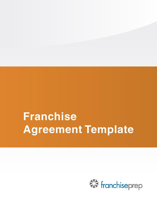# **Franchise Agreement Template**

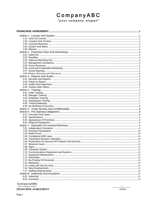# CompanyABC

"your company slogan"

# CompanyABC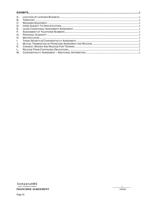| Α.           |  |  |  |  |  |  |
|--------------|--|--|--|--|--|--|
| Β.           |  |  |  |  |  |  |
| C.           |  |  |  |  |  |  |
| D.           |  |  |  |  |  |  |
| Е.           |  |  |  |  |  |  |
| F.           |  |  |  |  |  |  |
| G.           |  |  |  |  |  |  |
| Η.           |  |  |  |  |  |  |
| $\mathbf{L}$ |  |  |  |  |  |  |
| J.           |  |  |  |  |  |  |
| Κ.           |  |  |  |  |  |  |
| L.           |  |  |  |  |  |  |
| М.           |  |  |  |  |  |  |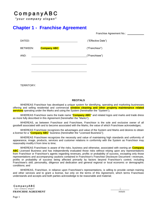## CompanyABC

"your company slogan"

### <span id="page-4-0"></span>**Chapter 1 - Franchise Agreement**

| Franchise Agreement No.: |  |
|--------------------------|--|
|                          |  |

| DATED:   |                    |  | ("Effective Date") |
|----------|--------------------|--|--------------------|
| BETWEEN: | <b>Company ABC</b> |  | ("Franchisor")     |
| AND:     |                    |  | ("Franchisee")     |
|          |                    |  |                    |
|          |                    |  |                    |

TERRITORY:

#### **RECITALS**

WHEREAS Franchisor has developed a unique system for identifying, operating and marketing businesses offering and selling residential and commercial **window cleaning and other property maintenance related services** operating under the Marks and using the System (hereinafter the "System");

WHEREAS Franchisor owns the trade name "**Company ABC**" and related logos and marks and trade dress as more fully described in this Agreement (hereinafter the "Marks");

WHEREAS, as between Franchisor and Franchisee, Franchisor is the sole and exclusive owner of all goodwill associated with and to become associated with the Marks, the value of which Franchisee acknowledges;

WHEREAS Franchisee recognizes the advantages and value of the System and Marks and desires to obtain a license for a "**Company ABC**" business (hereinafter the "Licensed Business");

WHEREAS Franchisee recognizes the necessity and value of maintaining high standards and uniformity of appearance, image, products, services and customer relations in conformity with the System as Franchisor may reasonably modify it from time to time;

WHEREAS Franchisee is aware of the risks, business and otherwise, associated with owning an **Company ABC** Licensed Business and has independently evaluated those risks without relying upon any representations from Franchisor or Franchisor's agents regarding revenues, profits or probability of success, excepting only those representations and accompanying cautions contained in Franchisor's Franchise Disclosure Document—revenues, profits or probability of success being affected primarily by factors beyond Franchisor's control, including Franchisee's skill, personality, diligence and dedication and general regional or local economic or demographic conditions; and

WHEREAS, Franchisor, in reliance upon Franchisee's representations, is willing to provide certain training and other services and to grant a license, but only on the terms of this Agreement, which terms Franchisee understands and accepts and both parties acknowledge to be reasonable and material;

CompanyABC "your company slogan" **FRANCHISE AGREEMENT**

| *initials*

Page 1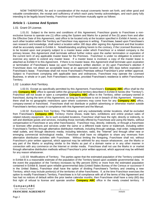NOW THEREFORE, for and in consideration of the mutual covenants herein set forth, and other good and valuable consideration, the receipt and sufficiency of which each party hereby acknowledges, and each party fully intending to be legally bound hereby, Franchisor and Franchisee mutually agree as follows:

#### <span id="page-5-0"></span>**Article 1 - License And System**

#### <span id="page-5-1"></span>1.01 Grant Of License.

1.01.01 Subject to the terms and conditions of this Agreement, Franchisor grants to Franchisee a nonexclusive license to operate one (1) office using the System and Marks for a period of five (5) years from and after the Effective Date of this Agreement, said office to be located only at the location specified in Exhibit A hereto, or at such other location within the Territory as Franchisor may approve in writing. Franchisee, based upon Franchisee's own research and knowledge, shall select a location within 180 days after signing this Agreement and that location shall be accurately stated in Exhibit A. Notwithstanding anything herein to the contrary, if the Licensed Business is to be located upon real property subject to a master lease under which Franchisor or a related company is the primary lessee, this Agreement shall terminate without further notice upon the earlier termination or expiration of the current term of any applicable master lease for the Premises. Franchisor is under no obligation to extend or exercise any option to extend any master lease. If a master lease is involved, a copy of the master lease is attached as Exhibit H to this Agreement. If there is no master lease, this Agreement shall terminate upon expiration or termination of Franchisee's lease (a) upon Franchisee's written election; or (b) upon Franchisor's election if Franchisee does not obtain an acceptable lease at an approved location at least (90) days before expiration of Franchisee's lease. Franchisee shall not move Franchisee's Premises without Franchisor's prior written approval. Subject to Franchisee complying with applicable laws and ordinances, Franchisee may operate the Licensed Business, in whole or in part, from Franchisee's residence, provided Franchisee's residence is within Franchisee's Territory.

#### <span id="page-5-2"></span>1.02 Location And Territory.

1.02.01 Except as specifically permitted by this Agreement, Franchisee's **Company ABC** office shall be the only **Company ABC** office to operate within the geographical territory described in Exhibit B hereto (the "Territory"). Franchisor will not locate or open a competitive **Company ABC** office in the Territory, either company-owned or franchised, during the term of this Agreement, so long as Franchisee is not in breach of this Agreement. However, there shall be no geographic restrictions upon where customers may come from for any **Company ABC** office, company-owned or franchised. Franchisee shall not distribute or publish advertising or otherwise market outside Franchisee's territory except in compliance with this Agreement and the Manual.

1.02.02 Exclusions from Territory. The following, and any substantially similar locations, shall be excluded from Franchisee's **Company ABC** Territory: Home shows, trade fairs, exhibitions and online product sales of related industry equipment. As to such excluded locations, Franchisor shall have the right, directly or indirectly, to sell and distribute goods and services, including those normally offered by Franchisee and using the Marks, without compensation to Franchisee or any other franchisee(s). Franchisor may, directly, indirectly, or through a franchisee or licensee offer products and services under the same or a different trade name or trademark, including within Franchisee's Territory through alternative distribution methods, including through catalogs, mail order, independent retail outlets, and through electronic media, including television, radio, the "Internet" and through other new or emerging commercial technological media. Franchisor shall have no obligation to share any revenues from alternative distribution activities with Franchisee. Without limiting the foregoing, Franchisee shall not, without Franchisor's prior written approval, which approval may be withheld for any reason whatsoever, use the Marks or any part of the Marks or anything similar to the Marks as part of a domain name or in any other manner in connection with any commerce on the Internet or similar media. Franchisee shall not use the Marks in or market through alternative distribution methods without Franchisor's prior written approval, which approval may be withheld for any reason whatsoever.

1.02.03 Modifications of Territory. The parties agree that the estimated population of the Territory contained in Exhibit B is a reasonable estimate of the population of the Territory based upon available governmental data. In the event the population of the Territory increases by fifty percent (50%) or more from the estimated population contained in Exhibit B, based upon reliable governmental data (United States Bureau of the Census or successor if in the United States), Franchisor shall have the option of dividing Franchisee's Territory and creating a new Territory, which may include portion(s) of the territories of other franchisees. If, at the time Franchisor exercises the option to modify Franchisee's Territory, Franchisee is in full compliance with all of the terms of this Agreement and has had no notices of default within the prior twelve calendar months, then Franchisee shall have a sixty (60) day first right of refusal to license and operate another **Company ABC** office in the newly created territory. If

#### CompanyABC "your company slogan" **FRANCHISE AGREEMENT**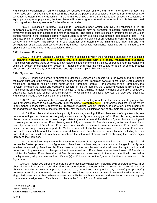Franchisor's modification of Territory boundaries reduces the size of more than one franchisee's Territory, the franchisees shall receive rights of refusal in the order of the percent(s) of population severed from their respective territories as determined by Franchisor. If the territories of two or more franchisees are reduced by substantially equal percentages of population, the franchisees will receive rights of refusal in the order in which they executed their original franchise agreements for the affected territories.

1.02.04 Expansion Territory. Subject to Franchisor's prior written approval, if Franchisee is in full compliance with this Agreement and the Manual, Franchisee may be permitted to acquire additional adjacent territory that has not been assigned to another franchisee. The price of such expansion territory shall be \$0.10 per person residing in the expanded territory based upon currently available governmental demographic data. The purchase price for expansion territory is payable, in full, upon the signing of an addendum granting the expansion territory to Franchisee. Franchisor, in its sole discretion shall determine the minimum and maximum size and configuration of an expansion territory and may impose reasonable conditions, including, but not limited to the opening of a satellite office in the expansion territory.

#### <span id="page-6-0"></span>1.03 Licensed Business.

1.03.01 The term "Licensed Business" means a business in which the Franchisee engages in the business of **cleaning windows and other services that are associated with a property maintenance business.** Franchisee will provide these services to both residential and commercial buildings, operating under the Marks and using the System (hereinafter the "System"). Franchisor shall have the right to add or delete or change product and service offerings at any time and Franchisee agrees to comply with such changes.

#### <span id="page-6-1"></span>1.04 System And Marks.

1.04.01 Franchisee agrees to operate the Licensed Business only according to the System and only under the Marks pursuant to the Manual. Franchisee acknowledges that Franchisor owns all rights to the System and the Marks and Franchisee has only such rights as this Agreement grants. For purposes of this Agreement, the "System" includes the rights and obligations set forth in this Agreement, the Operating Manual furnished to the Franchisee as amended from time to time, Franchisor's name, training, formulas, methods of operation, reputation, advertising, system and similar benefits pursuant to which the Franchisee operates the Licensed Business. Franchisor's unique trade dress is part of the Marks.

1.04.02 Unless otherwise first approved by Franchisor in writing or unless otherwise required by applicable law, Franchisee agrees to do business only under the name "**Company ABC** ". Franchisee shall not use the Marks in any manner not specifically approved by Franchisor, including, without limitation, as part of any domain name or other address on any portion of the Internet or any new medium, including as part of any meta tag(s) or similar use.

1.04.03 Franchisee shall immediately notify Franchisor, in writing, if Franchisee learns of any attempt by any person to infringe the Marks or to wrongfully appropriate the System or any part of it. Franchisor may, in its sole discretion, take whatever action it deems appropriate to protect or defend the Marks or System but is not obligated to take any action whatsoever. Franchisee agrees to fully cooperate with Franchisor in any action anticipated by or taken by or on behalf of Franchisor. Franchisee understands that it may become necessary, in Franchisor's sole discretion, to change, totally or in part, the Marks, as a result of litigation or otherwise. In that event, Franchisee agrees to immediately adopt the new or revised Marks, and Franchisor's maximum liability, including for any purported goodwill, shall be to reimburse Franchisee the actual out-of-pocket costs of changing the principal signs identifying the Premises.

1.04.04 Franchisor may change the System or any part of the System at any time, and as changed it shall remain the System pursuant to this Agreement. Franchisor shall own any improvements or changes in the System whether developed by Franchisor, by Franchisee or by other franchisee(s) and shall have the right to adopt and perfect such improvements or changes without compensation to Franchisee or other franchisees. If Franchisor modifies the System, Franchisee shall, at Franchisee's own expense except to the extent specifically provided in this Agreement, adopt and use such modification(s) as if it were part of the System at the time of execution of this Agreement.

1.04.05 Franchisee agrees to operate no other business whatsoever, including coin-operated devices, in or about the Premises of the Licensed Business or otherwise in connection with the System or Marks without first obtaining Franchisor's written approval; provided that, Franchisee may provide any service(s) or product(s) permitted according to the Manual. Franchisee acknowledges that Franchisor owns, in connection with the Marks, all goodwill associated with or to become associated with the telephone numbers and telephone listings and agrees to execute an Assignment of Telephone Numbers in the form of Exhibit F, attached.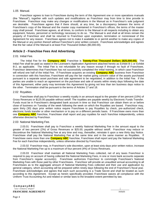#### <span id="page-7-0"></span>1.05 Manual.

Franchisor agrees to loan to Franchisee during the term of this Agreement one or more operations manuals (the "Manual"), together with such updates and modifications as Franchisor may from time to time provide to Franchisee. Franchisor may make any changes or modifications in the Manual as in Franchisor's sole judgment are desirable. Franchisee agrees that if there should, at any time, be a discrepancy between the terms of Franchisee's copy of the Manual and the master copy maintained in Franchisor's offices, the terms of the master copy shall prevail. Franchisee agrees, at all times, to conform to the Manual in all respects including to obtain any equipment, fixtures, personnel or technology necessary to do so. The Manual is and shall at all times remain the property of Franchisor and shall be returned to Franchisor upon expiration, termination or nonrenewal of this Agreement for any reason. Franchisee agrees not to make it available to or permit another to make any copies of the Manual or any portion thereof without Franchisor's prior written consent. Franchisee acknowledges and agrees that the fair value of the Manual is at least Five Thousand Dollars (\$5,000.00).

#### <span id="page-7-1"></span>**Article 2 - Franchise Fees And Advertising**

#### <span id="page-7-2"></span>2.01 Initial Fee.

The Initial Fee for the **Company ABC** Franchise is **Twenty-Five Thousand Dollars (\$25,000.00).** The Initial Fee shall be paid as stated in the Licensee's Application Agreement attached hereto as Exhibit B-1 or Exhibit B-2, as applicable. The Initial Fee is not refundable for any reason except if through no fault of Franchisee, Franchisor determines that Franchisee has not successfully completed the initial training, in which case Franchisor will refund one half of the Initial Fee. If Franchisee acquires an existing **Company ABC** business from Franchisor in connection with this franchise, Franchisee will pay the fair market going concern value of the assets purchased pursuant to a separate asset purchase and sale agreement to be negotiated, in addition to the Initial Fee. If the parties are unable to reach an agreement on the purchase and sale of assets within ninety days following the date of this Agreement, either party may terminate this Agreement by giving not less than ten business days notice to the other. Termination shall be pursuant to the terms of Articles 17 and 18.

#### <span id="page-7-3"></span>2.02 Royalties.

Franchisee shall pay to Franchisor a weekly royalty in an amount equal to the greater of ten percent (10%) of Gross Revenues or \$125.00 payable without setoff. The royalties are payable weekly by Electronic Funds Transfer. Funds must be in Franchisee's designated bank account in time so that Franchisor can obtain them on or before close of business on Tuesday of the week following the week on which the Royalties are based. Franchisor may, upon thirty (30) days prior written notice require Franchisee to pay Royalties by check, pre-authorized check, electronic funds transfer or other mechanism or to pay on a different periodic basis. If Franchisee owns more than one **Company ABC** franchise, Franchisee shall report and pay royalties for each franchise independently, unless otherwise directed by Franchisor.

#### <span id="page-7-4"></span>2.03 National Marketing Fee.

2.03.01 Franchisee shall pay to Franchisor a weekly National Marketing Fee in the amount equal to the greater of two percent (2%) of Gross Revenues or \$25.00, payable without setoff. Franchisor may reduce or discontinue the National Marketing Fee at any time and may, thereafter, reinstate it upon a new thirty day Notice. Franchisee shall pay the National Marketing Fee at the same time and in the same manner as Royalties. If Franchisee owns more than one **Company ABC** franchise, Franchisee shall report and pay the National Marketing Fee for each franchise independently, unless otherwise directed by Franchisor.

2.03.02 Franchisor may, in Franchisor's sole discretion, upon at least sixty days prior written notice, increase the National Marketing Fee up to a maximum of four percent (4%) of Gross Revenues.

2.03.03 Franchisor shall maintain all National Marketing Fees collected, net of any taxes Franchisor is required to pay on account of having collected the National Marketing Fees, in one or more bank accounts separate from Franchisor's regular account(s). Franchisee authorizes Franchisor to commingle Franchisee's National Marketing Fees with those paid by other Franchisees. Franchisor will provide an unaudited annual accounting to all Franchisees as to the aggregate amount of National Marketing Fees collected and their use and application by general category, which accounting will be prepared within ninety days following the end of Franchisor's fiscal year. Franchisee acknowledges and agrees that each such accounting is a Trade Secret and shall be treated as such according to this Agreement. Except as herein specifically provided, Franchisee waives all compliance with the Uniform Trust Accounting Act and related or similar laws to the broadest extent permitted by law.

CompanyABC "your company slogan" **FRANCHISE AGREEMENT**

| *initials*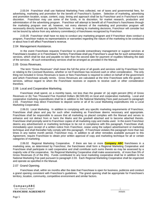2.03.04 Franchisor shall use National Marketing Fees collected, net of taxes and governmental fees, for advertising, marketing and promotion for the benefit of Franchisor's System. Selection of marketing, advertising and promotion location, scope, content, copy, timing and approach shall be by Franchisor and in Franchisor's sole discretion. Franchisor may use some of the funds, in its discretion, for market research, production and administration of the advertising program. Franchisor will attempt to benefit all of Franchisor's franchisees through the marketing program over all; however, not every element of the marketing and promotion program will necessarily directly benefit any specific franchisee. In making its marketing decisions, Franchisor will consider but not be bound by advice from any advisory committee(s) of franchisees recognized by Franchisor.

2.03.05 Franchisor shall have no duty to conduct any marketing program and if Franchisor does conduct a program, Franchisor makes no representations or warranties regarding the nature of the marketing to be conducted or about how it will affect Franchisee's revenue.

#### <span id="page-8-0"></span>2.04 Management Assistance.

In the event Franchisee requests Franchisor to provide extraordinary management or support services at Franchisee's location or in Franchisee's Territory Franchisee shall pay Franchisor's usual fee for such extraordinary services, which shall be due and payable no later than the second date for payment of royalties following the date of the services. All such extraordinary services shall be arranged as provided in the Manual.

#### <span id="page-8-1"></span>2.05 Gross Revenues.

The term "Gross Revenues" shall mean the full the price of all goods and services sold by Franchisee from or relating to the Licensed Business, whether or not Franchisee has received cash or other consideration. The only thing not included in Gross Revenues is taxes or fees Franchisee is required to collect on behalf of the government and which Franchisee actually remits. Gross Revenues are calculated at the time Franchisee sells the goods or services, without regard to when the Franchisee receives or expects to receive cash or other consideration therefore.

#### <span id="page-8-2"></span>2.06 Local and Cooperative Marketing.

Franchisee shall spend, on a monthly basis, not less than the greater of: (a) eight percent (8%) of Gross Revenues or (b) Two Thousand Five Hundred Dollars (\$2,500.00) on local and cooperative marketing. Local and cooperative marketing expenditures shall be in addition to the National Marketing Fees paid pursuant to paragraph 2.03. Franchisor may direct Franchisee to deposit some or all of its Local Marketing expenditures into a Local Marketing Cooperative.

2.06.01 Local Marketing. In addition to complying with any specific marketing requirements of Franchisor, Franchisee shall place and pay for such other marketing as Franchisee deems necessary and appropriate. Franchisee shall be responsible to assure that all marketing so placed complies with the Manual and serves to enhance and not detract from or harm the Marks and the goodwill attached and to become attached thereto. Franchisee shall promptly send to Franchisor copies of all marketing copy and media used. In the event Franchisor deems any advertisement or marketing technique to be not in compliance with this paragraph, Franchisee shall, immediately upon receipt of a written notice from Franchisor, cease using the subject advertisement or marketing technique and shall thereafter fully comply with this paragraph. If Franchisee violates this paragraph more than two times in any twelve month period, Franchisor may, in addition to all other remedies available pursuant to this Agreement, require Franchisee to obtain prior written approval of copy and marketing technique for all or certain categories of marketing.

2.06.02 Regional Marketing Cooperative. If there are two or more **Company ABC** franchisees in a marketing area, as determined by Franchisor, the franchisees shall form a Regional Marketing Cooperative and Franchisee shall participate in said cooperative and shall contribute such sums thereto as may be assessed by a majority vote of the cooperative. No Regional Marketing Cooperative shall make assessments, of more than 5% of Gross Revenues (5 of the 8%). Funds contributed to any local marketing cooperative shall be in addition to the National Marketing Fee paid pursuant to paragraph 2.03. Each Regional Marketing Cooperative shall be organized and operate as specified in the Manual.

#### <span id="page-8-3"></span>2.07 Grand Opening.

Franchisee shall, within six months after the date that Franchisee is open for business, publicize and conduct a grand opening consistent with Franchisor's guidelines. The grand opening shall be appropriate for Franchisee's territory, location, community, competitive environment and similar factors.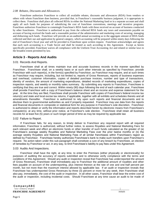#### <span id="page-9-0"></span>*2.08 Rebates, Discounts and Allowances.*

Franchisee authorizes Franchisor to collect all available rebates, discounts and allowances (RDA) from vendors or others with whom Franchisee does business, provided that, in Franchisor's reasonable business judgment, it is appropriate to collect them. Franchisor shall place all collected RDAs in either the National Marketing fund or in a separate account and shall apply all such funds for purposes of subsidizing the cost of franchisee conventions, meetings and incentive programs. Franchisee authorizes Franchisor to commingle Franchisee's RDA funds with those received on account of business conducted by other franchisees. Franchisor is authorized to pay from the collected RDA funds any taxes and assessments payable on account of having received the funds and a reasonable portion of the administrative and marketing costs of securing, managing and disbursing such funds. Franchisor will provide an un-audited annual accounting as to the aggregate amount of RDA funds collected and their use and application by general category, which accounting will be prepared within ninety days following the end of Franchisor's fiscal year and will be provided to Franchisee upon written request. Franchisee acknowledges and agrees that each such accounting is a Trade Secret and shall be treated as such according to this Agreement. Except as herein specifically provided, Franchisee waives all compliance with the Uniform Trust Accounting Act and related or similar laws to the broadest extent permitted by law.

#### <span id="page-9-1"></span>**Article 3 - Reports And Audits**

#### <span id="page-9-2"></span>3.01 Records And Reports.

Franchisee shall at all times maintain true and accurate business records in the manner specified by Franchisor. Franchisee shall, on a weekly basis or at such other intervals as specified by Franchisor, provide Franchisor with such report(s), in the form(s) specified by Franchisor, as Franchisor may require, and at such times as Franchisor may require, including, but not limited to, reports of Gross Revenues, reports of business expenses and overhead, customer information, copies of detailed purchase invoices, number and type of transactions, identity of vendors, the amount of marketing expenditures, detailed records of marketing expenditures, copies of inspection reports, and weekly or monthly sales summary. By submitting any reports to Franchisor, Franchisee is certifying that they are true and correct. Within ninety (90) days following the end of each calendar year, Franchisee shall provide Franchisor with a copy of Franchisee's balance sheet and an income and expense statement for the year. At the time they are filed, Franchisee shall provide Franchisor with copies of Franchisee's federal income tax return(s) and state and local excise tax returns, if applicable, together with all exhibits and schedules thereto and all amendments thereafter. Franchisor is authorized to rely upon such reports and financial documents and to disclose them to governmental authorities as and if properly requested. Franchisor may use data from the reports and financial documents in composite or statistical form for any purpose in Franchisor's sole discretion. Franchisor is authorized to obtain or verify the information and reports described herein by electronic means from Franchisee's computer(s), at any time, without prior notice, at Franchisor's sole election. Franchisee shall retain all business records for at least five (5) years or such longer period of time as may be required by applicable law

#### <span id="page-9-3"></span>3.02 Failure to Report.

If Franchisee fails, for any reason, to timely deliver to Franchisor any required report with all required information, Franchisor is authorized, without further notice, to assess Royalties and National Marketing Fees for each relevant week and effect an electronic funds or other transfer of such funds calculated as the greater of (a) Franchisee's average weekly Royalties and National Marketing Fees over the prior twelve months or (b) the average weekly Royalties and National Marketing Fees of all similar franchisees within Franchisee's region as defined by Franchisor. Franchisee hereby authorizes Franchisee's bank to make such transfers upon Franchisor's request. No action taken under this sub-paragraph shall constitute a cure of any breach by Franchisee, an election of remedies by Franchisor or act, in any way, to limit Franchisee's liability to pay fees under this Agreement.

#### <span id="page-9-4"></span>3.03 Audits And Inspections.

Franchisor shall have the right, at any time, to enter the Premises (either physically or electronically) for purposes of auditing the accuracy of reports submitted and to otherwise verify compliance with the terms and conditions of this Agreement. Should any audit or inspection reveal that Franchisee has underreported the amount of Gross Revenues, Franchisee shall immediately pay to Franchisor the additional amount of royalties and other fees payable on account of the underreporting, plus interest thereon at the rate of one and one-half percent per month, but not more than the maximum interest allowed by applicable law. If an audit or inspection reveals that Franchisee has underreported Gross Revenues by three (3) percent or more for any week, then Franchisee shall also pay, immediately, the cost of the audit or inspection. In all other cases, Franchisor shall bear the entire cost of the audit or inspection, including incidental costs. Should Franchisee at any time cause an audit to be made of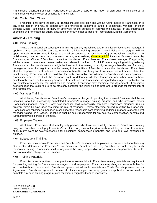Franchisee's Licensed Business, Franchisee shall cause a copy of the report of said audit to be delivered to Franchisor without any cost or expense to Franchisor.

#### <span id="page-10-0"></span>3.04 Contact With Others.

Franchisor shall have the right, in Franchisor's sole discretion and without further notice to Franchisee or to any other person or entity, to contact any of Franchisee's customers, landlord, accountant, vendors, or other persons within Franchisee's Territory or otherwise for the purpose of verifying the accuracy of any information submitted by Franchisee, for quality assurance or for any other purpose not inconsistent with this Agreement.

#### <span id="page-10-1"></span>**Article 4 - Training**

#### <span id="page-10-2"></span>4.01 Initial Training.

4.01.01 As a condition subsequent to this Agreement, Franchisee and Franchisee's designated manager, if applicable, shall successfully complete Franchisor's initial training program. The initial training program will be approximately 40 to 80 hours in length and shall be conducted at such location(s) as Franchisor specifies. The initial training may be conducted, in whole or in part, in an existing **Company ABC** Licensed Business owned by Franchisor, an affiliate of Franchisor or another franchisee. Franchisee and Franchisee's manager, if applicable, will be required to execute a consent, waiver and release in the form of Exhibit K before beginning training, relieving Franchisor or other franchisees who might be involved in the training of liability for wages, benefits, and for injury, damages or harm that might occur while training in the facilities of Franchisor or another franchisee. Franchisee shall be responsible for all salaries, compensation, benefits, and living and travel expenses of trainees. After the initial training, Franchisor will be available for such reasonable consultation as Franchisor deems appropriate. Franchisor reserves to itself the exclusive right to determine whether Franchisee and other trainees have satisfactorily completed the training program. If Franchisee and Franchisee's designated manager, if applicable, do not satisfactorily complete the initial training program, Franchisor may terminate this Agreement. Franchisee acknowledges that such failure to satisfactorily complete the initial training program is grounds for termination of this Agreement.

#### <span id="page-10-3"></span>4.02 Manager Training.

At all times, Franchisee or Franchisee's manager in charge of operating the Licensed Business shall be an individual who has successfully completed Franchisor's manager training program and who otherwise meets Franchisor's manager criteria. Any new manager shall successfully complete Franchisor's manager training program within 60 days after assuming the role of manager. Unless otherwise agreed in writing by Franchisor, Franchisee or Franchisee's manager(s) shall bear the reasonable cost of training additional managers after the first manager trained. In all cases, Franchisee shall be solely responsible for any salaries, compensation, benefits and living and travel expenses of trainees.

#### <span id="page-10-4"></span>4.03 Employee Training.

At all times, Franchisee shall employ only persons who have successfully completed Franchisor's training program. Franchisee shall pay Franchisor's or a third party's usual fee(s) for such mandatory training. Franchisee shall, in any event, be solely responsible for all salaries, compensation, benefits, and living and travel expenses of trainees.

#### <span id="page-10-5"></span>4.04 Subsequent Training.

Franchisor may require Franchisee and Franchisee's manager and employees to complete additional training at a location determined in Franchisor's sole discretion. Franchisee shall pay Franchisor's usual fee(s) for such mandatory training. Franchisee shall, in any event, be solely responsible for all salaries, compensation, benefits, and living and travel expenses of trainees.

#### <span id="page-10-6"></span>4.05 Training Materials.

Franchisor may, from time to time, provide or make available to Franchisee training materials and equipment for providing training for Franchisee's manager(s) and employees. Franchisor may charge a reasonable fee for such materials and equipment. Franchisee agrees that all such materials are Trade Secrets pursuant to this Agreement. Franchisee agrees to require all of its managers and employees, as applicable, to successfully complete any such training program(s) if Franchisor designates them as mandatory.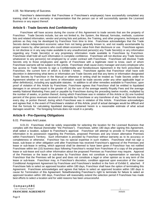#### <span id="page-11-0"></span>4.05 No Warranty of Success.

Franchisor's determination that Franchisee or Franchisee's employee(s) have successfully completed any training shall not be a warranty or representation that the person can or will successfully operate the Licensed Business or any aspect thereof.

#### <span id="page-11-1"></span>**Article 5 - Trade Secrets And Confidentiality**

Franchisee will have access during the course of this Agreement to trade secrets that are the property of Franchisor. Trade Secrets include, but are not limited to, the System, the Manual, formulas, methods, customer lists and related information, vendor and pricing lists and policies, the Training, and other programs, techniques and policies as they may be developed by Franchisor from time to time. Franchisee acknowledges that the Trade Secrets derive independent economic value from not being generally known to, and not readily ascertainable by proper means by, other persons who could obtain economic value from their disclosure or use. Franchisee agrees to not disclose or in any way make available to any unauthorized person(s) any Trade Secret(s) or any information regarding any Trade Secret(s) or any proprietary information made available to Franchisee by Franchisor. Franchisee shall hold all such information in complete confidence. Franchisee will not disclose any Trade Secrets whatsoever to any person(s) not employed by or under contract with Franchisee. Franchisee will disclose Trade Secrets only to those employees and agents of Franchisee with a legitimate need to know, each of whom Franchisee warrants will be subject to this article. Franchisee shall cause every manager and every employee who has access to Trade Secrets to sign a Confidentiality and Nondisclosure Agreement in the form prescribed by Franchisor, the current form of which is Exhibit I hereto. Franchisee agrees that Franchisor shall have sole discretion in determining what items or information are Trade Secrets and that any items or information designated Trade Secrets by Franchisor in the Manual or otherwise in writing shall be treated as Trade Secrets under this Agreement whether or not such items or information would be trade secrets under any other applicable legal or other definition(s), including any applicable statutes. In addition to all other remedies available to Franchisor, upon proof of violation of this Article by Franchisee, Franchisee agrees that Franchisor shall be entitled to liquidated damages in an amount equal to the greater of: (a) the sum of the average weekly Royalty Fees and the average weekly National Marketing Fees paid or payable by Franchisee during the preceding twelve months, multiplied by the number of weeks, or portion thereof, during which Franchisee was in violation of this Article or (b) one hundred percent of the gross revenues received or receivable by Franchisee or any transferee of any Trade Secrets during every day, or portion thereof, during which Franchisee was in violation of this Article. Franchisee acknowledges and agrees that, in the event of Franchisee's violation of this Article, proof of actual damages would be difficult and that the formula for calculating liquidated damages contained herein is a reasonable estimate of what actual damages would be. The foregoing formula does not result in a penalty.

#### <span id="page-11-2"></span>**Article 6 - Pre-Opening Obligations**

<span id="page-11-3"></span>6.01 Premises And Lease.

6.01.01 Franchisee shall be solely responsible for selecting the location for the Licensed Business that complies with the Manual (hereinafter "the Premises"). Franchisee, within 180 days after signing this Agreement, shall select a location, subject to Franchisor's approval. Franchisor will attempt to provide to Franchisee any information in its possession regarding the Premises, proposed Premises and any known alternative Premises within Franchisee's Territory. Such information is provided by Franchisor without warranty as to its accuracy or completeness or otherwise. Franchisor has no special expertise in such matters. Franchisee shall not sign a lease, sub-lease or other obligation until after Franchisee has received Franchisor's approval of the Premises and lease or sub-lease in writing, which approval shall be deemed to have been given if Franchisor has not notified Franchisee within ten (10) business days following Franchisor's receipt from Franchisee of a copy of the proposed lease or sub-lease and such other information about the proposed Premises as Franchisor may require. Approval of the Premises or the lease or sub-lease by Franchisor does not constitute a representation or warranty by Franchisor that the Premises will be good and does not constitute a legal or other opinion as to any term of the lease or sub-lease. Franchisor may, in Franchisor's discretion, condition approval upon execution of the Lease Conditional Assignment Agreement by Franchisee and Franchisee's landlord in the form of Exhibit E, attached. If Franchisee fails to select an approved location within 180 days, Franchisor shall have the option of terminating this Agreement. Franchisee acknowledges and agrees that failure to select an approved location within 180 days is cause for Termination of this Agreement. Notwithstanding Franchisor's right to terminate for failure to select an approved location within 180 days, Franchisor will reasonably extend the selection period if Franchisee has made best efforts to select a location and for valid reasons has been unsuccessful.

#### CompanyABC "your company slogan" **FRANCHISE AGREEMENT**

| *initials*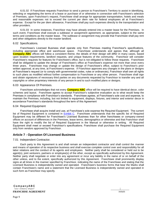6.01.02 If Franchisee requests Franchisor to send a person to Franchisee's Territory to assist in identifying, selecting or negotiating the terms of a lease or purchase of or otherwise in connection with Franchisee's selection of Premises, upon Franchisor's request, Franchisee shall arrange for appropriate transportation, hotels and meals and reasonable expenses not to exceed the current per diem rate for federal employees all at Franchisee's expense. Except for the per diem allowance, Franchisee shall pay such expenses directly to the transportation and other providers.

6.01.03 In some instances, Franchisor may have already entered into a master lease for the Premises. In such event, Franchisee shall execute a sublease or assignment agreement, as appropriate, subject to the same terms and conditions as the master lease. The sublease or assignment may provide that Franchisee shall pay rent and other obligations directly to the master landlord.

#### <span id="page-12-0"></span>6.02 Specifications.

Franchisee's Licensed Business shall operate only from Premises meeting Franchisor's specifications, including appropriate office and warehouse space. Franchisee understands and agrees that, although all **Company ABC** offices will follow a consistent theme, the details of their design will differ in many cases, based upon location requirements, landlord requests, and unique features of the community. Franchisor will consider Franchisee's requests for features for Franchisee's office, but is not obligated to follow those requests. Franchisee shall be obligated to update the design of Franchisee's office at Franchisee's expense not more than once every three years. Franchisee may change or update the design of Franchisee's office, subject to Franchisor's prior written approval, at any time, at Franchisee's expense. If Franchisor approves any changes in the plans or designs at Franchisee's request (or to comply with governmental codes, rules or ordinances), Franchisor shall own all rights to such plans as modified without further compensation to Franchisee or any other person. Franchisee shall sign and obtain signatures of necessary third parties on any documents requested by Franchisor to transfer any and all copyrights or other proprietary interests of any person in and to such modified plans or designs.

#### <span id="page-12-1"></span>6.03 Appearance Of Premises.

Franchisee acknowledges that not every **Company ABC** office will be required to have identical decor, color schemes and layout. Franchisee agrees to accept Franchisor's subjective evaluation as to what would keep the Premises in compliance with Franchisor's standards. Franchisee agrees, at Franchisee's sole cost and expense, to maintain the Premises, including, but not limited to equipment, displays, fixtures, and interior and exterior decor in accordance Franchisor's standards throughout the term of this Agreement

#### <span id="page-12-2"></span>6.04 Required Equipment

Franchisee shall acquire install and use, at Franchisee's sole expense the Required Equipment. The current list of Required Equipment is contained in **Exhibit C.** Franchisee understands that the specific list of Required Equipment may be different for Franchisee's Licensed Business than for other franchisees or company-owned offices on account of differences in the Premises, lease terms, demographics or otherwise and that Franchisor shall have the right to modify the list of Required Equipment in the Manual or otherwise in writing. All Required Equipment shall meet or exceed Franchisor's specifications. Franchisee shall purchase the Required Equipment only from vendors approved by Franchisor.

#### <span id="page-12-3"></span>**Article 7 - Operation Of Licensed Business**

#### <span id="page-12-4"></span>7.01 Independent Contractor.

Each party to this Agreement is and shall remain an independent contractor and shall control the manner and means of operation of its respective business and shall exercise complete control over and responsibility for all labor relations and the conduct of its agents and employees. Neither party shall be considered or held out to be agent(s), joint venturers, partners or employee(s) of the other, except as specifically authorized by this Agreement. Neither party shall negotiate or enter into any agreement or incur any liability in the name of or on behalf of the other unless, and to the extent, specifically authorized by this Agreement. Franchisee shall prominently display signs at all times in the manner specified by Franchisor, indicating the name of the Franchisee and stating that the Licensed Business is independently owned and operated. Franchisee's business forms that bear the Marks shall contain Franchisee's name and a statement that the Licensed Business is independently owned and operated in such form as Franchisor may specify.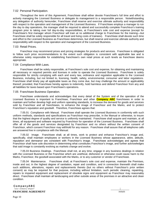#### <span id="page-13-0"></span>7.02 Personal Participation.

Throughout the term of this Agreement, Franchisee shall either devote Franchisee's full time and effort to actively managing the Licensed Business or delegate its management to a responsible person. Notwithstanding any delegation of authority hereunder, Franchisee shall reserve and exercise ultimate authority and responsibility with respect to the operation and management of the Licensed Business. If Franchisee employs a manager to run the day to day operations, the manager shall be required to attend and successfully complete Franchisor's training program prior to taking over full day-to-day responsibilities, at Franchisee's sole cost and expense (except for Franchisee's first manager whom Franchisor will train at no additional charge to Franchisee for the training—but Franchisee shall be solely responsible for all travel and living costs of trainees). Franchisee shall devote such time and effort to the Licensed Business as Franchisee determines, but shall reserve and exercise ultimate authority and responsibility with respect to the operation and management of the Licensed Business.

#### <span id="page-13-1"></span>7.03 Retail Prices.

Franchisor may recommend prices and pricing strategies for products and services. Franchisee is obligated to follow such price recommendations to the extent such obligation is consistent with applicable law and is otherwise solely responsible for establishing franchisee's own retail prices at such levels as franchisee deems appropriate.

#### <span id="page-13-2"></span>7.04 Compliance With Laws.

Franchisee shall be solely responsible, at Franchisee's sole cost and expense, for obtaining and maintaining all necessary or required permits and licenses in order to operate the Licensed Business. Franchisee is solely responsible for strictly complying with each and every law, ordinance and regulation applicable to the Licensed Business, including, but not limited to, licensing, health, safety, environmental, consumer and labor regulations. Franchisee shall timely pay all applicable taxes as they come due, but may challenge the amount or applicability thereof; provided, that Franchisee hereby agrees to indemnify, hold harmless and defend Franchisor from any and all liabilities for taxes based upon Franchisee's operations.

#### <span id="page-13-3"></span>7.05 Franchisee Business Operation.

Franchisee understands and acknowledges that every detail of the System and of the operation of the Licensed Business is important to Franchisee, Franchisor and other **Company ABC** franchisees in order to maintain and further develop high and uniform operating standards, to increase the demand for goods and services sold by Franchisor and all franchisees, to enhance the image of Franchisor and the Marks, and to protect Franchisor's reputation and goodwill. Therefore, Franchisee agrees that:

7.05.01 Compliance with Manual. Franchisee shall operate the Licensed Business in conformity with such uniform methods, standards and specifications as Franchisor may prescribe, in the Manual or otherwise, to insure that the highest degree of quality and service is uniformly maintained. Franchisee shall acquire and maintain, at all times, all equipment and software required by Franchisor for operation of the Licensed Business. Franchisee shall offer all of the goods and services designated by Franchisor and no others without the written consent of Franchisor, which consent Franchisor may withhold for any reason. Franchisee shall assure that all telephone calls are answered live in compliance with the Manual.

7.05.02 Image. Franchisee shall, at all times, work to protect and enhance Franchisor's image and, specifically, shall maintain employees or workers in the Licensed Business whose appearance, attire, attitude, reputation and demeanor are consistent with Franchisor's image. Franchisee acknowledges and agrees that Franchisor shall have sole discretion in determining what constitutes Franchisor's image, and further acknowledges that said image is constantly evolving as markets change and evolve.

7.05.03 Business Dealings. Franchisee shall not, at any time, engage in any business dealings in relation with the Licensed Business or the Franchise which are unethical, dishonest or otherwise could cause harm to the Marks, Franchisor, the goodwill associated with the Marks, or to any customer or vendor of Franchisee.

7.05.04 Maintenance. Franchisee shall, at Franchisee's sole cost and expense, maintain the Premises, inside and out, in the highest degree of sanitation, repair and condition, and in connection therewith shall make such additions, alterations, repairs and replacements thereto (but no others without Franchisor's prior written consent) as may be required for that purpose, including without limitation, such periodic cleaning, repainting, repairs to impaired equipment and replacement of obsolete signs and equipment as Franchisor may reasonably direct. Franchisee shall maintain all landscaping and other outside areas of the premises in an attractive and clean condition.